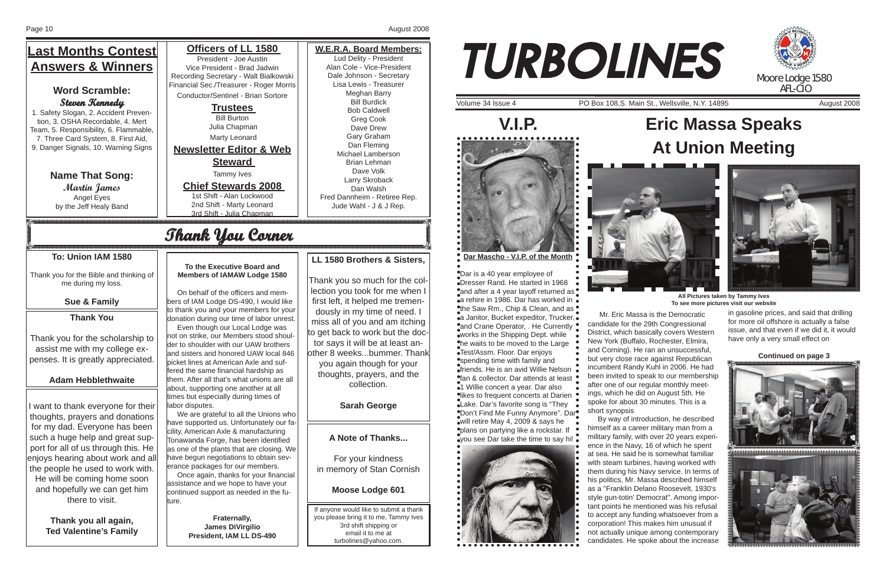### Moore Lodge 1580 AFL-CIO

Volume 34 Issue 4 PO Box 108,S. Main St., Wellsville, N.Y. 14895 August 2008

Dar is a 40 year employee of Dresser Rand. He started in 1968 •and after a 4 year lavoff returned as •  $\bullet$ a rehire in 1986. Dar has worked in  $\bullet$ the Saw Rm., Chip & Clean, and as ! •a Janitor, Bucket expeditor, Trucker, • \*and Crane Operator, . He Currently works in the Shipping Dept. while he waits to be moved to the Large Test/Assm. Floor. Dar enjoys spending time with family and friends. He is an avid Willie Nelson **f**an & collector. Dar attends at least 1 Willie concert a year. Dar also •likes to frequent concerts at Darien • Lake. Dar's favorite song is "They \*Don't Find Me Funny Anymore". Dar\* will retire May 4, 2009 & says he plans on partying like a rockstar. If you see Dar take the time to say hi!





# **Eric Massa Speaks At Union Meeting**

Even though our Local Lodge was not on strike, our Members stood shoulder to shoulder with our UAW brothers and sisters and honored UAW local 846 picket lines at American Axle and suffered the same financial hardship as them. After all that's what unions are all about, supporting one another at all times but especially during times of labor disputes.

We are grateful to all the Unions who have supported us. Unfortunately our facility, American Axle & manufacturing Tonawanda Forge, has been identified as one of the plants that are closing. We have begun negotiations to obtain severance packages for our members.

Once again, thanks for your financial assistance and we hope to have your continued support as needed in the future.

> **Fraternally, James DiVirgilio President, IAM LL DS-490**

# **A Note of Thanks...**

For your kindness in memory of Stan Cornish

# **Moose Lodge 601**

# **TURBOLINES**



**All Pictures taken by Tammy Ives To see more pictures visit our website**

I want to thank everyone for their thoughts, prayers and donations for my dad. Everyone has been such a huge help and great support for all of us through this. He lenjoys hearing about work and all the people he used to work with. He will be coming home soon and hopefully we can get him there to visit.



**Thank you all again, Ted Valentine's Family**

Thank you for the scholarship to assist me with my college expenses. It is greatly appreciated.

### **Adam Hebblethwaite**

### Page 10 August 2008 **Thank You Corner To the Executive Board and Members of IAMAW Lodge 1580** On behalf of the officers and members of IAM Lodge DS-490, I would like to thank you and your members for your donation during our time of labor unrest. **To: Union IAM 1580** Thank you for the Bible and thinking of me during my loss. **Sue & Family Thank You LL 1580 Brothers & Sisters,** Thank you so much for the collection you took for me when I first left, it helped me tremendously in my time of need. I **Last Months Contest Answers & Winners Word Scramble: Steven Kennedy** 1. Safety Slogan, 2. Accident Prevention, 3. OSHA Recordable, 4. Mert Team, 5. Responsibility, 6. Flammable, 7. Three Card System, 8. First Aid, 9. Danger Signals, 10. Warning Signs **Name That Song: Martin James** Angel Eyes by the Jeff Healy Band **Officers of LL 1580** President - Joe Austin Vice President - Brad Jadwin Recording Secretary - Walt Bialkowski Financial Sec./Treasurer - Roger Morris Conductor/Sentinel - Brian Sortore **Trustees** Bill Burton Julia Chapman Marty Leonard **Newsletter Editor & Web Steward** Tammy Ives **Chief Stewards 2008** 1st Shift - Alan Lockwood 2nd Shift - Marty Leonard 3rd Shift - Julia Chapman **W.E.R.A. Board Members:** Lud Delity - President Alan Cole - Vice-President Dale Johnson - Secretary Lisa Lewis - Treasurer Meghan Barry Bill Burdick Bob Caldwell Greg Cook Dave Drew Gary Graham Dan Fleming Michael Lamberson Brian Lehman Dave Volk Larry Skroback Dan Walsh Fred Dannheim - Retiree Rep. Jude Wahl - J & J Rep.

miss all of you and am itching to get back to work but the doctor says it will be at least anlother 8 weeks...bummer. Thank you again though for your thoughts, prayers, and the collection.

# **Sarah George**

Mr. Eric Massa is the Democratic candidate for the 29th Congressional District, which basically covers Western New York (Buffalo, Rochester, Elmira, and Corning). He ran an unsuccessful, but very close race against Republican incumbent Randy Kuhl in 2006. He had been invited to speak to our membership after one of our regular monthly meetings, which he did on August 5th. He spoke for about 30 minutes. This is a short synopsis

By way of introduction, he described himself as a career military man from a military family, with over 20 years experience in the Navy, 16 of which he spent at sea. He said he is somewhat familiar with steam turbines, having worked with them during his Navy service. In terms of his politics, Mr. Massa described himself as a "Franklin Delano Roosevelt, 1930's style gun-totin' Democrat". Among important points he mentioned was his refusal to accept any funding whatsoever from a corporation! This makes him unusual if not actually unique among contemporary candidates. He spoke about the increase





in gasoline prices, and said that drilling for more oil offshore is actually a false issue, and that even if we did it, it would have only a very small effect on

**Continued on page 3**



If anyone would like to submit a thank you please bring it to me, Tammy Ives 3rd shift shipping or email it to me at turbolines@yahoo.com.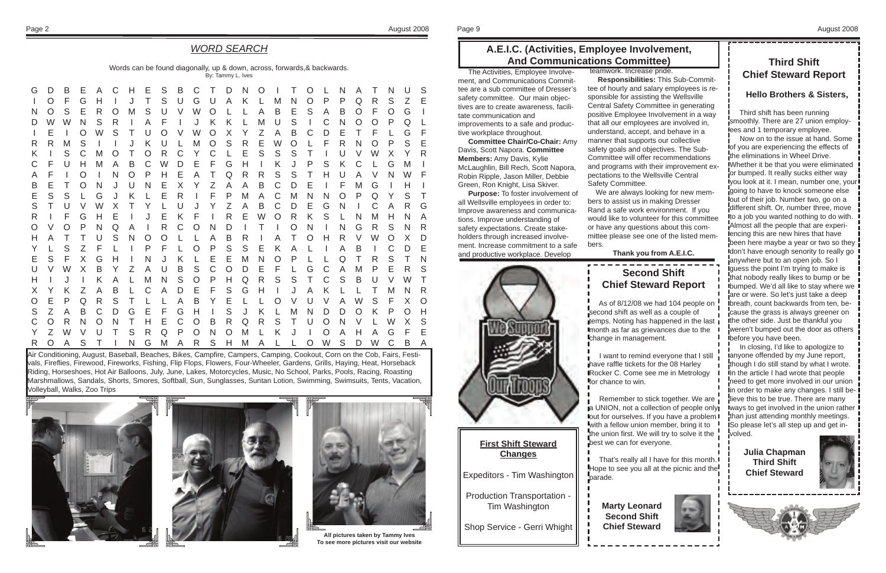The Activities, Employee Involvement, and Communications Committee are a sub committee of Dresser's safety committee. Our main objectives are to create awareness, facilitate communication and improvements to a safe and productive workplace throughout.

**Committee Chair/Co-Chair:** Amy Davis, Scott Napora. **Committee Members:** Amy Davis, Kylie McLaughlin, Bill Rech, Scott Napora, Robin Ripple, Jason Miller, Debbie Green, Ron Knight, Lisa Skiver.

**Purpose:** To foster involvement of all Wellsville employees in order to: Improve awareness and communications. Improve understanding of safety expectations. Create stakeholders through increased involvement. Increase commitment to a safe and productive workplace. Develop

teamwork. Increase pride.



As of 8/12/08 we had 104 people on ! second shift as well as a couple of temps. Noting has happened in the last Imonth as far as grievances due to the I change in management.

**Responsibilities:** This Sub-Committee of hourly and salary employees is responsible for assisting the Wellsville Central Safety Committee in generating positive Employee Involvement in a way that all our employees are involved in, understand, accept, and behave in a manner that supports our collective safety goals and objectives. The Sub-Committee will offer recommendations and programs with their improvement expectations to the Wellsville Central Safety Committee.

Remember to stick together. We are a UNION, not a collection of people only lout for ourselves. If you have a problem I with a fellow union member, bring it to the union first. We will try to solve it the best we can for everyone.

I That's really all I have for this month. Hope to see you all at the picnic and the parade.

Third shift has been running smoothly. There are 27 union employlees and 1 temporary employee.

We are always looking for new members to assist us in making Dresser Rand a safe work environment. If you would like to volunteer for this committee or have any questions about this committee please see one of the listed members.

# **Thank you from A.E.I.C. Second Shift Chief Steward Report**

I want to remind everyone that I still have raffle tickets for the 08 Harley Rocker C. Come see me in Metrology for chance to win.

**Marty Leonard Second Shift Chief Steward**

*WORD SEARCH*



# **Third Shift Chief Steward Report**

\_\_\_\_\_\_\_\_\_\_\_\_\_\_\_\_\_\_\_\_\_\_

# **Hello Brothers & Sisters,**

Now on to the issue at hand. Some lof you are experiencing the effects of the eliminations in Wheel Drive. Whether it be that you were eliminated or bumped. It really sucks either way you look at it. I mean, number one, your going to have to knock someone else lout of their job. Number two, go on a different shift. Or, number three, move to a job you wanted nothing to do with. Almost all the people that are experiencing this are new hires that have been here maybe a year or two so they **Idon't have enough senority to really go** anywhere but to an open job. So I guess the point I'm trying to make is that nobody really likes to bump or be bumped. We'd all like to stay where we are or were. So let's just take a deep breath, count backwards from ten, because the grass is always greener on the other side. Just be thankful you weren't bumped out the door as others before you have been.

In closing, I'd like to apologize to lanyone offended by my June report, though I do still stand by what I wrote. In the article I had wrote that people need to get more involved in our union in order to make any changes. I still believe this to be true. There are many ways to get involved in the union rather than just attending monthly meetings. So please let's all step up and get involved.

> **Julia Chapman Third Shift Chief Steward**



# **A.E.I.C. (Activities, Employee Involvement, And Communications Committee)**

Air Conditioning, August, Baseball, Beaches, Bikes, Campfire, Campers, Camping, Cookout, Corn on the Cob, Fairs, Festivals, Fireflies, Firewood, Fireworks, Fishing, Flip Flops, Flowers, Four-Wheeler, Gardens, Grills, Haying, Heat, Horseback Riding, Horseshoes, Hot Air Balloons, July, June, Lakes, Motorcycles, Music, No School, Parks, Pools, Racing, Roasting Marshmallows, Sandals, Shorts, Smores, Softball, Sun, Sunglasses, Suntan Lotion, Swimming, Swimsuits, Tents, Vacation, Volleyball, Walks, Zoo Trips





**First Shift Steward Changes**

Expeditors - Tim Washington

Production Transportation - Tim Washington

Shop Service - Gerri Whight

| G            | D       | B            | Ε        | A |    | Н      | Ε            | S      | B  | С            | Τ            | D | N | Ő            |   | Т | O |    | N | A | $\mathbf{L}$ | N            | U | S       |
|--------------|---------|--------------|----------|---|----|--------|--------------|--------|----|--------------|--------------|---|---|--------------|---|---|---|----|---|---|--------------|--------------|---|---------|
|              | O       | F            | G        | Н | L  | J      | Т            | S      | U  | G            | U            | A | K |              | M | N | O | P  | P | Q | R            | S            | Ζ | Ε       |
| N            | O       | S            | E        | R | O  | M      | S            | U      | V  | W            | O            |   |   | A            | B | Е | S | A  | B | O | F            | O            | G |         |
| D            | W       | W            | N        | S | R  | L      | A            | F      | I. | J            | K            | K | L | M            | U | S |   | C  | N | O | $\Omega$     | P            | Q |         |
| $\mathbf{I}$ | E       | $\mathbf{I}$ | $\Omega$ | W | S  | Τ      | U            | O      | V  | W            | O            | X | Y | Ζ            | A | B | C | D  | Ε | Т | F            |              | G | F       |
| R            | R       | M            | S        | L | L  | J      | K            | $\cup$ | L  | M            | O            | S | R | Е            | W | O |   | F  | R | N | $\Omega$     | P            | S | Ε       |
| Κ            |         | S            | С        | M | O  | Τ      | O            | R      | C  | Y            | C            | L | Е | S            | S | S | Τ |    | U | V | W            | X            | Y | R       |
|              | F       | U            | Н        | M | A  | B      | C            | W      | D  | Е            | F            | G | Н | $\mathbf{I}$ | K | J | P | S  | K | C |              | G            | M |         |
| A            | F       | $\mathbf{I}$ | O        | L | N  | O      | P            | H      | Е  | A            | т            | Q | R | R            | S | S | т | H  | U | A | V            | N            | W | F       |
| B            | Е       | Τ            | O        | N | J  | $\cup$ | N            | Е      | X  | Y            | Ζ            | A | A | B            | C | D | Е | I. | F | M | G            | $\mathbf{I}$ | Н |         |
| Е            | S       | S            | L        | G | J  | K      |              | Е      | R  | $\mathsf{I}$ | F            | P | M | A            | C | M | N | N  | O | P | Q            | Y            | S | T.      |
| S            | Τ       | U            | V        | W | X  | т      | Y            | I.     | U  | J            | Y            | Ζ | A | B            | C | D | Ε | G  | N | L | C            | A            | R | G       |
| R            |         | F            | G        | H | Е  | L      | J            | Ε      | K  | F            | $\mathbf{I}$ | R | Е | W            | O | R | K | S  |   | N | M            | H            | N | A       |
| $\mathbf C$  | V       | O            | P        | N | Q  | A      | $\mathbf{I}$ | R      | C  | O            | N            | D |   | Τ            |   | O | N | I. | N | G | R            | S            | N | R       |
| H            | A       | T            | т        | U | S  | N      | O            | O      |    | L            | A            | B | R |              | A | Т | O | H  | R | V | W            | O            | X | D       |
| Y            |         | S            | Z        | F | I. | J.     | P            | F      |    | O            | P            | S | S | Е            | K | A |   |    | A | B | L.           | C            | D | Е       |
| Е            | S       | F            | X        | G | Н  | J.     | N            | J      | K  | L            | Е            | Е | M | N            | O | P |   |    | Q | Т | R            | S            | Т | N       |
| U            | $\vee$  | W            | X        | B | Y  | Ζ      | A            | U      | B  | S            | $\mathsf C$  | O | D | Е            | F | L | G | C  | A | M | P            | Е            | R | S       |
| H            |         | J            | L        | Κ | A  | L      | M            | N      | S  | $\circ$      | P            | H | Q | R            | S | S | Τ | C  | S | B | U            | V            | W | Τ       |
| X            | Y       | Κ            | Ζ        | A | B  | L      | C            | A      | D  | Е            | F            | S | G | H            |   | J | A | K  |   |   | Т            | M            | N | R       |
| Ő            | Е       | P            | Q        | R | S  | Τ      | L            | L      | A  | B            | Y            | Ε | L |              | Ő | V | U | V  | A | W | S            | F            | X | $\circ$ |
| S            | Z       | A            | B        | C | D  | G      | Ε            | F      | G  | H            | I.           | S | J | K            | L | M | N | D  | D | O | K            | P            | O | H       |
| С            | O       | R            | N        | O | N  | Τ      | H            | Е      | C  | O            | B            | R | Q | R            | S | Т | U | O  | N | V |              | W            | X | S       |
| Y            | Ζ       | W            | V        | U | т  | S      | R            | Q      | P  | O            | N            | O | M |              | K | J |   | O  | A | Н | A            | G            | F | Ε       |
| R            | $\circ$ | A            | S        | Τ |    | N      | G            | M      | A  | R            | S            | H | M | A            |   |   | O | W  | S | D | W            | C            | B | A       |



**All pictures taken by Tammy Ives To see more pictures visit our website**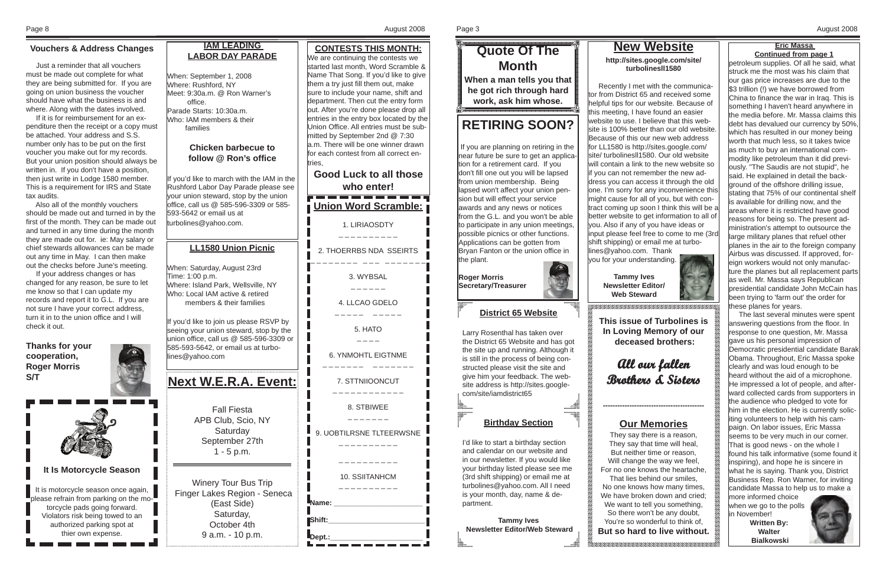

1. LIRIAOSDTY \_ \_ \_ \_ \_ \_ \_ \_ \_ \_

3. WYBSAL  $-$ 

2. THOERRBS NDA SSEIRTS \_ \_ \_ \_ \_ \_ \_ \_ \_ \_ \_ \_ \_ \_ \_ \_ \_ \_

4. LLCAO GDELO

\_ \_ \_ \_ \_ \_ \_ \_ \_ \_

 $-$ 

\_ \_ \_ \_ \_ \_ \_ \_ \_ \_ \_ \_ \_ \_

 $- - - - - - - - - - - - -$ 

10. SSIITANHCM  $- - - - - - - - - -$ 

5. HATO

6. YNMOHTL EIGTNME

ш

7. STTNIIOONCUT

8. STBIWEE

\_ \_ \_ \_ \_ \_ \_

9. UOBTILRSNE TLTEERWSNE

\_ \_ \_ \_ \_ \_ \_ \_ \_ \_

\_ \_ \_ \_ \_ \_ \_ \_ \_ \_

**Name: \_\_\_\_\_\_\_\_\_\_\_\_\_\_\_\_\_\_\_\_\_\_**

**Shift:\_\_\_\_\_\_\_\_\_\_\_\_\_\_\_\_\_\_\_\_\_\_\_\_**

 $\blacksquare$ Dept.:



# **RETIRING SOON?**

If you are planning on retiring in the near future be sure to get an application for a retirement card. If you don't fill one out you will be lapsed from union membership. Being lapsed won't affect your union pension but will effect your service awards and any news or notices from the G.L. and you won't be able to participate in any union meetings, possible picnics or other functions. Applications can be gotten from Bryan Fanton or the union office in the plant.

**Roger Morris Secretary/Treasurer**

## **Vouchers & Address Changes**

Just a reminder that all vouchers must be made out complete for what they are being submitted for. If you are going on union business the voucher should have what the business is and where. Along with the dates involved.

If it is for reimbursement for an expenditure then the receipt or a copy must be attached. Your address and S.S. number only has to be put on the first voucher you make out for my records. But your union position should always be written in. If you don't have a position, then just write in Lodge 1580 member. This is a requirement for IRS and State tax audits.

Also all of the monthly vouchers should be made out and turned in by the first of the month. They can be made out and turned in any time during the month they are made out for. ie: May salary or chief stewards allowances can be made out any time in May. I can then make out the checks before June's meeting.

petroleum supplies. Of all he said, what struck me the most was his claim that our gas price increases are due to the \$3 trillion (!) we have borrowed from China to finance the war in Iraq. This is something I haven't heard anywhere in the media before. Mr. Massa claims this debt has devalued our currency by 50% which has resulted in our money being worth that much less, so it takes twice as much to buy an international commodity like petroleum than it did previously. "The Saudis are not stupid", he said. He explained in detail the background of the offshore drilling issue, stating that 75% of our continental shelf is available for drilling now, and the areas where it is restricted have good reasons for being so. The present administration's attempt to outsource the large military planes that refuel other planes in the air to the foreign company Airbus was discussed. If approved, foreign workers would not only manufacture the planes but all replacement parts as well. Mr. Massa says Republican presidential candidate John McCain has been trying to 'farm out' the order for these planes for years.

If your address changes or has changed for any reason, be sure to let me know so that I can update my records and report it to G.L. If you are not sure I have your correct address, turn it in to the union office and I will check it out.

# **Quote Of The Month**

**When a man tells you that he got rich through hard work, ask him whose.**

> **This issue of Turbolines is In Loving Memory of our deceased brothers:**

**All our fallen Brothers & Sisters**

**------------------------------------------**

# **Our Memories**

They say there is a reason, They say that time will heal, But neither time or reason, Will change the way we feel, For no one knows the heartache, That lies behind our smiles, No one knows how many times, We have broken down and cried; We want to tell you something, So there won't be any doubt, You're so wonderful to think of, **But so hard to live without.**

when we go to the polls in November!

# **New Website http://sites.google.com/site/ turbolinesll1580**

Fall Fiesta APB Club, Scio, NY **Saturday** September 27th  $1 - 5$  p.m.

Recently I met with the communicator from District 65 and received some helpful tips for our website. Because of this meeting, I have found an easier website to use. I believe that this website is 100% better than our old website. Because of this our new web address for LL1580 is http://sites.google.com/ site/ turbolinesll1580. Our old website will contain a link to the new website so if you can not remember the new address you can access it through the old one. I'm sorry for any inconvenience this might cause for all of you, but with contract coming up soon I think this will be a better website to get information to all of you. Also if any of you have ideas or input please feel free to come to me (3rd shift shipping) or email me at turbolines@yahoo.com. Thank you for your understanding.

# **Good Luck to all those who enter!** ————— **Union Word Scramble:**

If you'd like to march with the IAM in the Rushford Labor Day Parade please see your union steward, stop by the union office, call us @ 585-596-3309 or 585- 593-5642 or email us at turbolines@yahoo.com.

> **Tammy Ives Newsletter Editor/ Web Steward**

### **Eric Massa Continued from page 1**

**Thanks for your cooperation, Roger Morris S/T It Is Motorcycle Season** It is motorcycle season once again, blease refrain from parking on the motorcycle pads going forward. Violators risk being towed to an authorized parking spot at lines@yahoo.com

The last several minutes were spent answering questions from the floor. In response to one question, Mr. Massa gave us his personal impression of Democratic presidential candidate Barak Obama. Throughout, Eric Massa spoke clearly and was loud enough to be heard without the aid of a microphone. He impressed a lot of people, and afterward collected cards from supporters in the audience who pledged to vote for him in the election. He is currently soliciting volunteers to help with his campaign. On labor issues, Eric Massa seems to be very much in our corner. That is good news - on the whole I found his talk informative (some found it inspiring), and hope he is sincere in what he is saying. Thank you, District Business Rep. Ron Warner, for inviting candidate Massa to help us to make a more informed choice

> **Written By: Walter Bialkowski**



thier own expense.

- - - - - - -

# **Next W.E.R.A. Event:**

Winery Tour Bus Trip Finger Lakes Region - Seneca (East Side) Saturday, October 4th 9 a.m. - 10 p.m.

**CONTESTS THIS MONTH:**

We are continuing the contests we started last month, Word Scramble & Name That Song. If you'd like to give them a try just fill them out, make sure to include your name, shift and department. Then cut the entry form out. After you're done please drop all entries in the entry box located by the Union Office. All entries must be submitted by September 2nd @ 7:30 a.m. There will be one winner drawn for each contest from all correct entries.

### **IAM LEADING LABOR DAY PARADE**

When: September 1, 2008 Where: Rushford, NY Meet: 9:30a.m. @ Ron Warner's office.

Parade Starts: 10:30a.m. Who: IAM members & their families

# **Chicken barbecue to follow @ Ron's office**

# **LL1580 Union Picnic**

When: Saturday, August 23rd Time: 1:00 p.m. Where: Island Park, Wellsville, NY Who: Local IAM active & retired members & their families

If you'd like to join us please RSVP by seeing your union steward, stop by the union office, call us @ 585-596-3309 or 585-593-5642, or email us at turbo-

# **District 65 Website**

Larry Rosenthal has taken over the District 65 Website and has got the site up and running. Although it is still in the process of being constructed please visit the site and give him your feedback. The website address is http://sites.googlecom/site/iamdistrict65

# **Birthday Section**

╩

I'd like to start a birthday section and calendar on our website and in our newsletter. If you would like your birthday listed please see me (3rd shift shipping) or email me at turbolines@yahoo.com. All I need is your month, day, name & department.

**Tammy Ives Newsletter Editor/Web Steward**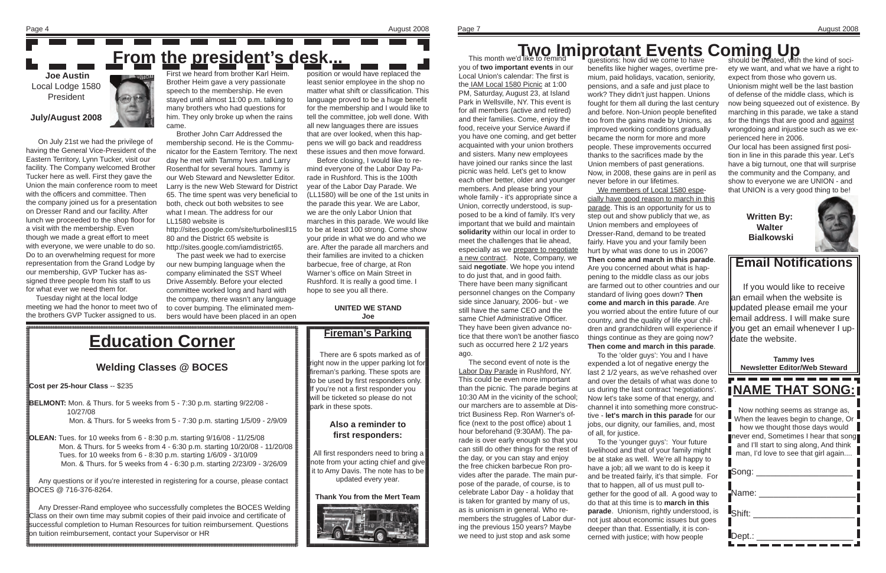# This month we'd like to remind **in protant** Events Coming Up

you of **two important events** in our Local Union's calendar: The first is the IAM Local 1580 Picnic at 1:00 PM, Saturday, August 23, at Island Park in Wellsville, NY. This event is for all members (active and retired) and their families. Come, enjoy the food, receive your Service Award if you have one coming, and get better acquainted with your union brothers and sisters. Many new employees have joined our ranks since the last picnic was held. Let's get to know each other better, older and younger members. And please bring your whole family - it's appropriate since a Union, correctly understood, is supposed to be a kind of family. It's very important that we build and maintain **solidarity** within our local in order to meet the challenges that lie ahead, especially as we prepare to negotiate a new contract. Note, Company, we said **negotiate**. We hope you intend to do just that, and in good faith. There have been many significant personnel changes on the Company

side since January, 2006- but - we still have the same CEO and the same Chief Administrative Officer. They have been given advance notice that there won't be another fiasco such as occurred here 2 1/2 years ago.

The second event of note is the Labor Day Parade in Rushford, NY. This could be even more important than the picnic. The parade begins at 10:30 AM in the vicinity of the school; our marchers are to assemble at District Business Rep. Ron Warner's office (next to the post office) about 1 hour beforehand (9:30AM). The parade is over early enough so that you can still do other things for the rest of the day, or you can stay and enjoy the free chicken barbecue Ron provides after the parade. The main purpose of the parade, of course, is to celebrate Labor Day - a holiday that is taken for granted by many of us, as is unionism in general. Who remembers the struggles of Labor during the previous 150 years? Maybe we need to just stop and ask some

benefits like higher wages, overtime premium, paid holidays, vacation, seniority, pensions, and a safe and just place to work? They didn't just happen. Unions fought for them all during the last century and before. Non-Union people benefited too from the gains made by Unions, as improved working conditions gradually became the norm for more and more people. These improvements occurred thanks to the sacrifices made by the Union members of past generations. Now, in 2008, these gains are in peril as never before in our lifetimes.

First we heard from brother Karl Heim. Brother Heim gave a very passionate speech to the membership. He even stayed until almost 11:00 p.m. talking to many brothers who had questions for him. They only broke up when the rains came.

> We members of Local 1580 especially have good reason to march in this parade. This is an opportunity for us to step out and show publicly that we, as Union members and employees of Dresser-Rand, demand to be treated fairly. Have you and your family been hurt by what was done to us in 2006? **Then come and march in this parade**. Are you concerned about what is happening to the middle class as our jobs are farmed out to other countries and our standard of living goes down? **Then come and march in this parade**. Are you worried about the entire future of our country, and the quality of life your children and grandchildren will experience if things continue as they are going now? **Then come and march in this parade**. To the 'older guys': You and I have expended a lot of negative energy the last 2 1/2 years, as we've rehashed over and over the details of what was done to us during the last contract 'negotiations'. Now let's take some of that energy, and channel it into something more constructive - **let's march in this parade** for our jobs, our dignity, our families, and, most

position or would have replaced the least senior employee in the shop no matter what shift or classification. This language proved to be a huge benefit for the membership and I would like to tell the committee, job well done. With all new languages there are issues that are over looked, when this happens we will go back and readdress these issues and then move forward.

**BELMONT:** Mon. & Thurs. for 5 weeks from 5 - 7:30 p.m. starting 9/22/08 -10/27/08

ety we want, and what we have a right to expect from those who govern us. Unionism might well be the last bastion of defense of the middle class, which is now being squeezed out of existence. By marching in this parade, we take a stand for the things that are good and against wrongdoing and injustice such as we experienced here in 2006.

There are 6 spots marked as of right now in the upper parking lot for fireman's parking. These spots are to be used by first responders only. If you're not a first responder you will be ticketed so please do not park in these spots.

Our local has been assigned first position in line in this parade this year. Let's have a big turnout, one that will surprise the community and the Company, and show to everyone we are UNION - and that UNION is a very good thing to be!

> **Written By: Walter Bialkowski**



**From the president's desk...**

-----------

**Joe Austin** Local Lodge 1580 President

**July/August 2008**

On July 21st we had the privilege of having the General Vice-President of the Eastern Territory, Lynn Tucker, visit our facility. The Company welcomed Brother Tucker here as well. First they gave the Union the main conference room to meet with the officers and committee. Then the company joined us for a presentation on Dresser Rand and our facility. After lunch we proceeded to the shop floor for a visit with the membership. Even though we made a great effort to meet with everyone, we were unable to do so. Do to an overwhelming request for more representation from the Grand Lodge by our membership, GVP Tucker has assigned three people from his staff to us for what ever we need them for.

Tuesday night at the local lodge meeting we had the honor to meet two of the brothers GVP Tucker assigned to us.

> of all, for justice. To the 'younger guys': Your future livelihood and that of your family might be at stake as well. We're all happy to have a job; all we want to do is keep it and be treated fairly, it's that simple. For that to happen, all of us must pull together for the good of all. A good way to do that at this time is to **march in this parade**. Unionism, rightly understood, is not just about economic issues but goes deeper than that. Essentially, it is concerned with justice; with how people **NAME THAT SONG:** Now nothing seems as strange as, When the leaves begin to change, Or how we thought those days would never end, Sometimes I hear that song and I'll start to sing along, And think man, I'd love to see that girl again.... <u>song: \_\_\_\_\_\_\_\_\_\_\_\_\_\_\_</u>\_\_\_\_\_\_\_\_\_\_ Name:  $\blacksquare$ Shift: Dept.: \_\_\_\_\_\_\_\_\_\_\_\_\_\_\_\_\_\_\_\_

Brother John Carr Addressed the membership second. He is the Communicator for the Eastern Territory. The next day he met with Tammy Ives and Larry Rosenthal for several hours. Tammy is our Web Steward and Newsletter Editor. Larry is the new Web Steward for District 65. The time spent was very beneficial to both, check out both websites to see what I mean. The address for our LL1580 website is

http://sites.google.com/site/turbolinesll15 80 and the District 65 website is http://sites.google.com/iamdistrict65.

The past week we had to exercise our new bumping language when the company eliminated the SST Wheel Drive Assembly. Before your elected committee worked long and hard with the company, there wasn't any language to cover bumping. The eliminated members would have been placed in an open

Before closing, I would like to remind everyone of the Labor Day Parade in Rushford. This is the 100th year of the Labor Day Parade. We (LL1580) will be one of the 1st units in the parade this year. We are Labor, we are the only Labor Union that marches in this parade. We would like to be at least 100 strong. Come show your pride in what we do and who we are. After the parade all marchers and their families are invited to a chicken barbecue, free of charge, at Ron Warner's office on Main Street in Rushford. It is really a good time. I hope to see you all there.

> **UNITED WE STAND Joe**

**Email Notifications**

If you would like to receive an email when the website is updated please email me your email address. I will make sure you get an email whenever I update the website.

**Tammy Ives Newsletter Editor/Web Steward**

**Education Corner Welding Classes @ BOCES Cost per 25-hour Class** -- \$235

Mon. & Thurs. for 5 weeks from 5 - 7:30 p.m. starting 1/5/09 - 2/9/09

**OLEAN:** Tues. for 10 weeks from 6 - 8:30 p.m. starting 9/16/08 - 11/25/08 Mon. & Thurs. for 5 weeks from 4 - 6:30 p.m. starting 10/20/08 - 11/20/08 Tues. for 10 weeks from 6 - 8:30 p.m. starting 1/6/09 - 3/10/09 Mon. & Thurs. for 5 weeks from 4 - 6:30 p.m. starting 2/23/09 - 3/26/09

Any questions or if you're interested in registering for a course, please contact BOCES @ 716-376-8264.

Any Dresser-Rand employee who successfully completes the BOCES Welding Class on their own time may submit copies of their paid invoice and certificate of successful completion to Human Resources for tuition reimbursement. Questions on tuition reimbursement, contact your Supervisor or HR

### **Fireman's Parking**

### **Also a reminder to first responders:**

All first responders need to bring a note from your acting chief and give it to Amy Davis. The note has to be updated every year.

### **Thank You from the Mert Team**